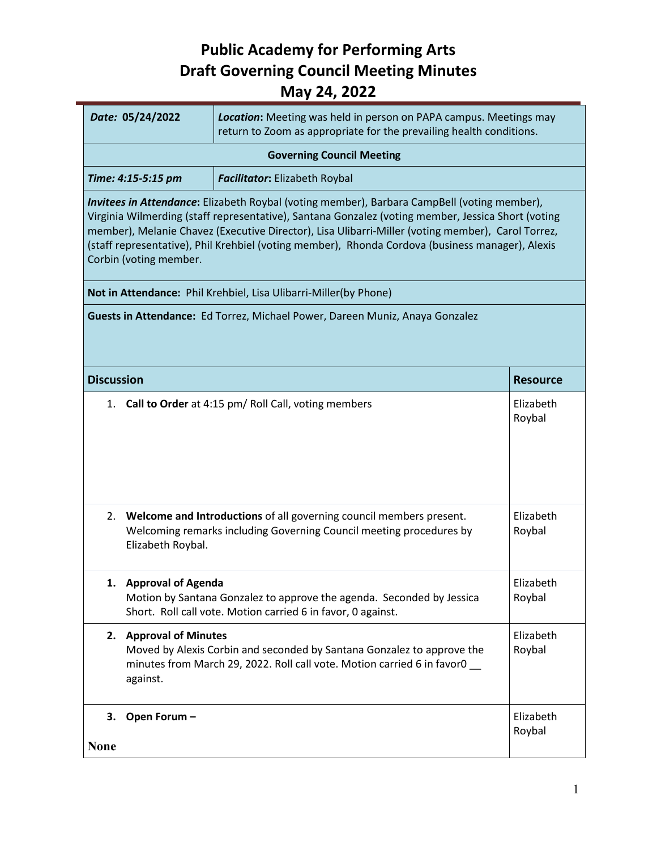|                                                                                                                                                                                                                                                                                                                                                                                                                                      |                                                                  | - -,                                                                                                                                              |                     |  |  |
|--------------------------------------------------------------------------------------------------------------------------------------------------------------------------------------------------------------------------------------------------------------------------------------------------------------------------------------------------------------------------------------------------------------------------------------|------------------------------------------------------------------|---------------------------------------------------------------------------------------------------------------------------------------------------|---------------------|--|--|
|                                                                                                                                                                                                                                                                                                                                                                                                                                      | Date: 05/24/2022                                                 | Location: Meeting was held in person on PAPA campus. Meetings may<br>return to Zoom as appropriate for the prevailing health conditions.          |                     |  |  |
| <b>Governing Council Meeting</b>                                                                                                                                                                                                                                                                                                                                                                                                     |                                                                  |                                                                                                                                                   |                     |  |  |
|                                                                                                                                                                                                                                                                                                                                                                                                                                      | Time: 4:15-5:15 pm                                               | Facilitator: Elizabeth Roybal                                                                                                                     |                     |  |  |
| Invitees in Attendance: Elizabeth Roybal (voting member), Barbara CampBell (voting member),<br>Virginia Wilmerding (staff representative), Santana Gonzalez (voting member, Jessica Short (voting<br>member), Melanie Chavez (Executive Director), Lisa Ulibarri-Miller (voting member), Carol Torrez,<br>(staff representative), Phil Krehbiel (voting member), Rhonda Cordova (business manager), Alexis<br>Corbin (voting member. |                                                                  |                                                                                                                                                   |                     |  |  |
|                                                                                                                                                                                                                                                                                                                                                                                                                                      | Not in Attendance: Phil Krehbiel, Lisa Ulibarri-Miller(by Phone) |                                                                                                                                                   |                     |  |  |
|                                                                                                                                                                                                                                                                                                                                                                                                                                      |                                                                  | Guests in Attendance: Ed Torrez, Michael Power, Dareen Muniz, Anaya Gonzalez                                                                      |                     |  |  |
| <b>Discussion</b>                                                                                                                                                                                                                                                                                                                                                                                                                    |                                                                  |                                                                                                                                                   | <b>Resource</b>     |  |  |
|                                                                                                                                                                                                                                                                                                                                                                                                                                      |                                                                  | 1. Call to Order at 4:15 pm/ Roll Call, voting members                                                                                            | Elizabeth<br>Roybal |  |  |
| 2.                                                                                                                                                                                                                                                                                                                                                                                                                                   | Elizabeth Roybal.                                                | Welcome and Introductions of all governing council members present.<br>Welcoming remarks including Governing Council meeting procedures by        | Elizabeth<br>Roybal |  |  |
|                                                                                                                                                                                                                                                                                                                                                                                                                                      | 1. Approval of Agenda                                            | Motion by Santana Gonzalez to approve the agenda. Seconded by Jessica<br>Short. Roll call vote. Motion carried 6 in favor, 0 against.             | Elizabeth<br>Roybal |  |  |
|                                                                                                                                                                                                                                                                                                                                                                                                                                      | 2. Approval of Minutes<br>against.                               | Moved by Alexis Corbin and seconded by Santana Gonzalez to approve the<br>minutes from March 29, 2022. Roll call vote. Motion carried 6 in favor0 | Elizabeth<br>Roybal |  |  |
|                                                                                                                                                                                                                                                                                                                                                                                                                                      |                                                                  |                                                                                                                                                   |                     |  |  |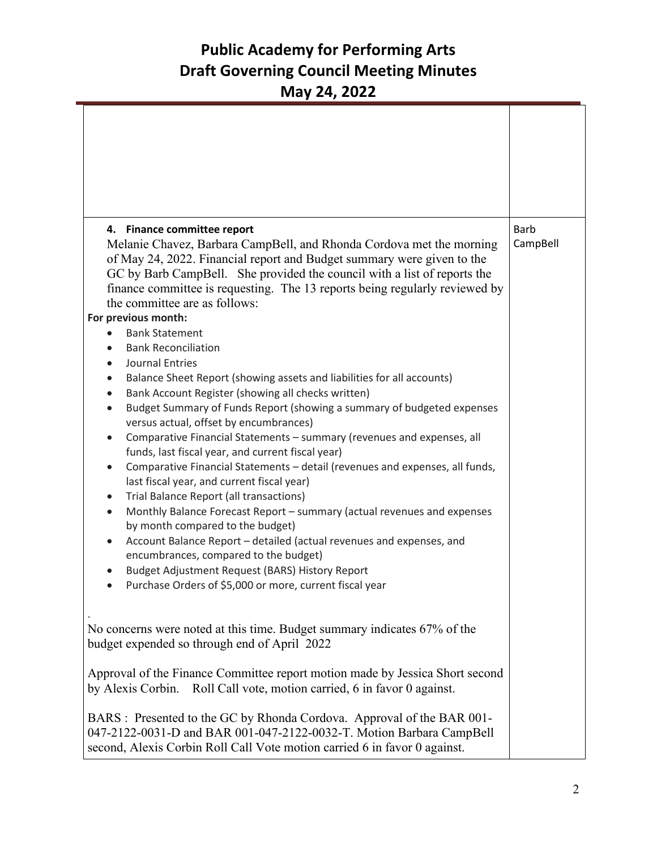|                                                                                                                                                            | 4. Finance committee report                                                                                                                                                                                                 | <b>Barb</b> |  |
|------------------------------------------------------------------------------------------------------------------------------------------------------------|-----------------------------------------------------------------------------------------------------------------------------------------------------------------------------------------------------------------------------|-------------|--|
|                                                                                                                                                            | Melanie Chavez, Barbara CampBell, and Rhonda Cordova met the morning<br>of May 24, 2022. Financial report and Budget summary were given to the                                                                              | CampBell    |  |
|                                                                                                                                                            | GC by Barb CampBell. She provided the council with a list of reports the                                                                                                                                                    |             |  |
|                                                                                                                                                            | finance committee is requesting. The 13 reports being regularly reviewed by                                                                                                                                                 |             |  |
|                                                                                                                                                            | the committee are as follows:                                                                                                                                                                                               |             |  |
|                                                                                                                                                            | For previous month:                                                                                                                                                                                                         |             |  |
|                                                                                                                                                            | <b>Bank Statement</b>                                                                                                                                                                                                       |             |  |
|                                                                                                                                                            | <b>Bank Reconciliation</b><br><b>Journal Entries</b><br>$\bullet$                                                                                                                                                           |             |  |
|                                                                                                                                                            | Balance Sheet Report (showing assets and liabilities for all accounts)<br>$\bullet$                                                                                                                                         |             |  |
|                                                                                                                                                            | Bank Account Register (showing all checks written)                                                                                                                                                                          |             |  |
|                                                                                                                                                            | Budget Summary of Funds Report (showing a summary of budgeted expenses<br>$\bullet$                                                                                                                                         |             |  |
|                                                                                                                                                            | versus actual, offset by encumbrances)                                                                                                                                                                                      |             |  |
|                                                                                                                                                            | Comparative Financial Statements - summary (revenues and expenses, all<br>$\bullet$<br>funds, last fiscal year, and current fiscal year)                                                                                    |             |  |
|                                                                                                                                                            | Comparative Financial Statements - detail (revenues and expenses, all funds,<br>$\bullet$                                                                                                                                   |             |  |
|                                                                                                                                                            | last fiscal year, and current fiscal year)                                                                                                                                                                                  |             |  |
|                                                                                                                                                            | Trial Balance Report (all transactions)<br>$\bullet$<br>Monthly Balance Forecast Report - summary (actual revenues and expenses<br>$\bullet$                                                                                |             |  |
|                                                                                                                                                            | by month compared to the budget)                                                                                                                                                                                            |             |  |
|                                                                                                                                                            | Account Balance Report - detailed (actual revenues and expenses, and<br>$\bullet$                                                                                                                                           |             |  |
|                                                                                                                                                            | encumbrances, compared to the budget)                                                                                                                                                                                       |             |  |
|                                                                                                                                                            | Budget Adjustment Request (BARS) History Report<br>$\bullet$                                                                                                                                                                |             |  |
|                                                                                                                                                            | Purchase Orders of \$5,000 or more, current fiscal year                                                                                                                                                                     |             |  |
|                                                                                                                                                            | No concerns were noted at this time. Budget summary indicates 67% of the                                                                                                                                                    |             |  |
|                                                                                                                                                            | budget expended so through end of April 2022                                                                                                                                                                                |             |  |
| Approval of the Finance Committee report motion made by Jessica Short second<br>Roll Call vote, motion carried, 6 in favor 0 against.<br>by Alexis Corbin. |                                                                                                                                                                                                                             |             |  |
|                                                                                                                                                            | BARS : Presented to the GC by Rhonda Cordova. Approval of the BAR 001-<br>047-2122-0031-D and BAR 001-047-2122-0032-T. Motion Barbara CampBell<br>second, Alexis Corbin Roll Call Vote motion carried 6 in favor 0 against. |             |  |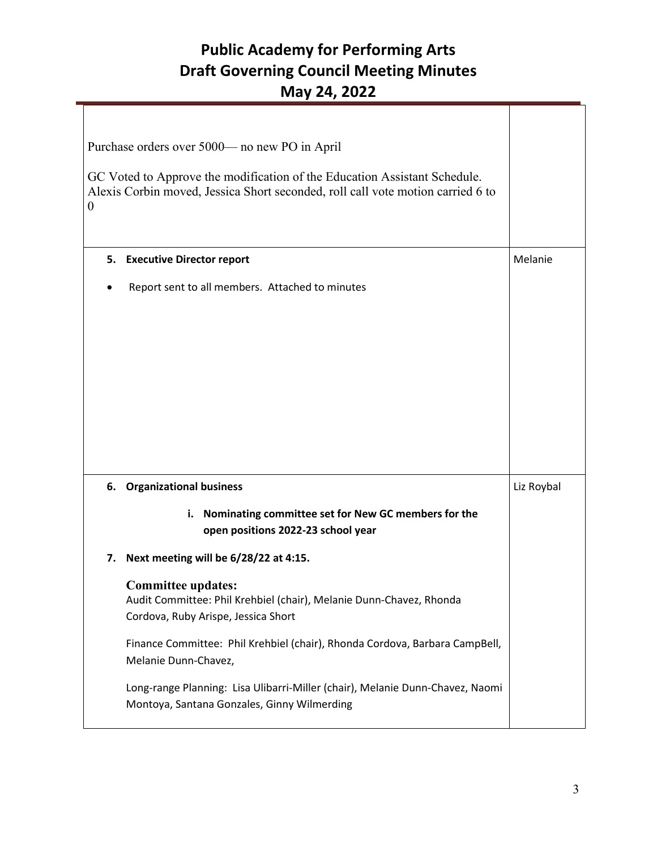| Purchase orders over 5000— no new PO in April<br>GC Voted to Approve the modification of the Education Assistant Schedule.<br>Alexis Corbin moved, Jessica Short seconded, roll call vote motion carried 6 to<br>$\theta$ |                                                                                                                                                                                                                        |            |
|---------------------------------------------------------------------------------------------------------------------------------------------------------------------------------------------------------------------------|------------------------------------------------------------------------------------------------------------------------------------------------------------------------------------------------------------------------|------------|
| 5.                                                                                                                                                                                                                        | <b>Executive Director report</b>                                                                                                                                                                                       | Melanie    |
|                                                                                                                                                                                                                           | Report sent to all members. Attached to minutes                                                                                                                                                                        |            |
| 6.                                                                                                                                                                                                                        | <b>Organizational business</b>                                                                                                                                                                                         | Liz Roybal |
|                                                                                                                                                                                                                           | i. Nominating committee set for New GC members for the<br>open positions 2022-23 school year                                                                                                                           |            |
| 7.                                                                                                                                                                                                                        | Next meeting will be 6/28/22 at 4:15.                                                                                                                                                                                  |            |
|                                                                                                                                                                                                                           | <b>Committee updates:</b><br>Audit Committee: Phil Krehbiel (chair), Melanie Dunn-Chavez, Rhonda<br>Cordova, Ruby Arispe, Jessica Short<br>Finance Committee: Phil Krehbiel (chair), Rhonda Cordova, Barbara CampBell, |            |
|                                                                                                                                                                                                                           | Melanie Dunn-Chavez,                                                                                                                                                                                                   |            |
|                                                                                                                                                                                                                           | Long-range Planning: Lisa Ulibarri-Miller (chair), Melanie Dunn-Chavez, Naomi<br>Montoya, Santana Gonzales, Ginny Wilmerding                                                                                           |            |